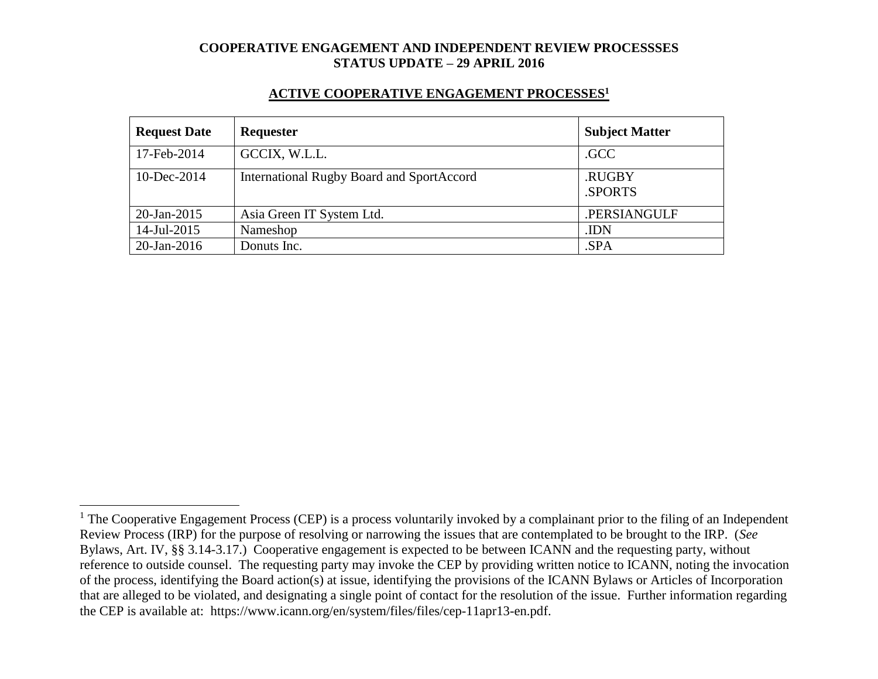#### **ACTIVE COOPERATIVE ENGAGEMENT PROCESSES<sup>1</sup>**

| <b>Request Date</b> | Requester                                        | <b>Subject Matter</b> |
|---------------------|--------------------------------------------------|-----------------------|
| 17-Feb-2014         | GCCIX, W.L.L.                                    | .GCC                  |
| 10-Dec-2014         | <b>International Rugby Board and SportAccord</b> | .RUGBY<br>.SPORTS     |
| $20$ -Jan-2015      | Asia Green IT System Ltd.                        | .PERSIANGULF          |
| 14-Jul-2015         | Nameshop                                         | .IDN                  |
| $20$ -Jan-2016      | Donuts Inc.                                      | .SPA                  |

 $\overline{a}$ 

 $1$  The Cooperative Engagement Process (CEP) is a process voluntarily invoked by a complainant prior to the filing of an Independent Review Process (IRP) for the purpose of resolving or narrowing the issues that are contemplated to be brought to the IRP. (*See* Bylaws, Art. IV, §§ 3.14-3.17.) Cooperative engagement is expected to be between ICANN and the requesting party, without reference to outside counsel. The requesting party may invoke the CEP by providing written notice to ICANN, noting the invocation of the process, identifying the Board action(s) at issue, identifying the provisions of the ICANN Bylaws or Articles of Incorporation that are alleged to be violated, and designating a single point of contact for the resolution of the issue. Further information regarding the CEP is available at: https://www.icann.org/en/system/files/files/cep-11apr13-en.pdf.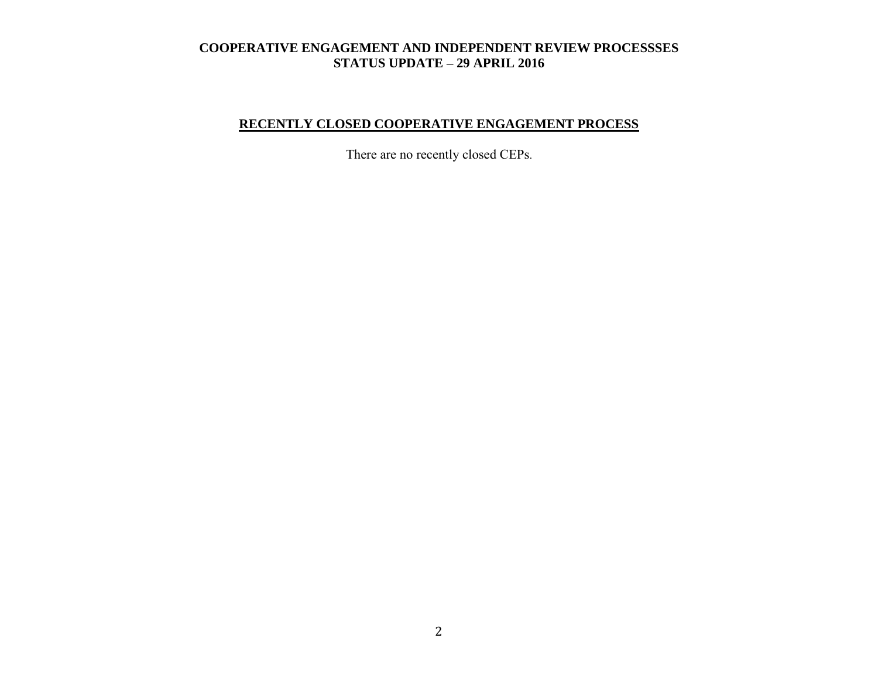# **RECENTLY CLOSED COOPERATIVE ENGAGEMENT PROCESS**

There are no recently closed CEPs.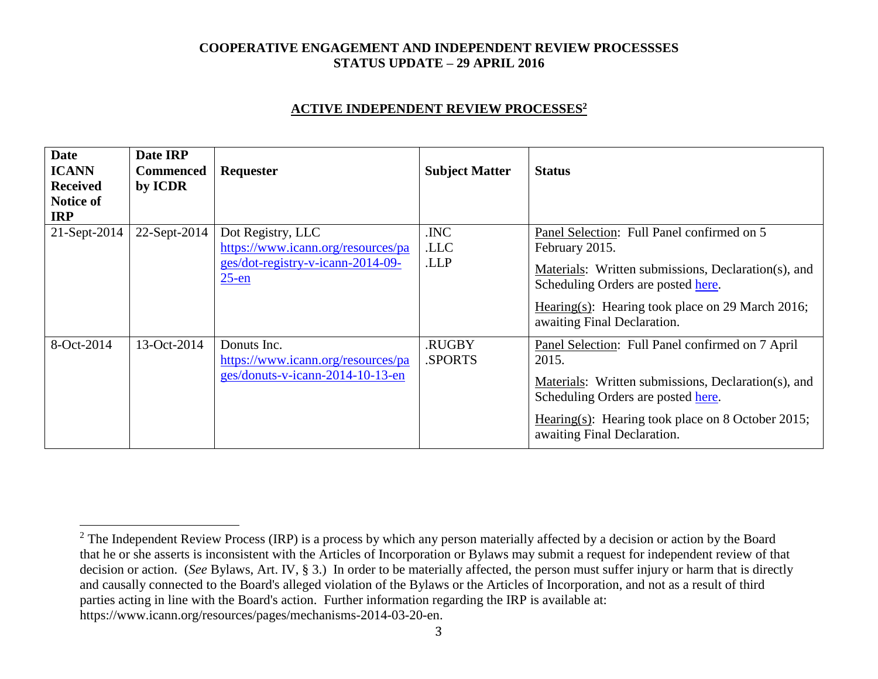#### **ACTIVE INDEPENDENT REVIEW PROCESSES<sup>2</sup>**

| <b>Date</b><br><b>ICANN</b><br><b>Received</b><br><b>Notice of</b><br><b>IRP</b> | Date IRP<br><b>Commenced</b><br>by ICDR | Requester                                                                                                | <b>Subject Matter</b>   | <b>Status</b>                                                                                                                                                                                                                                |
|----------------------------------------------------------------------------------|-----------------------------------------|----------------------------------------------------------------------------------------------------------|-------------------------|----------------------------------------------------------------------------------------------------------------------------------------------------------------------------------------------------------------------------------------------|
| 21-Sept-2014                                                                     | 22-Sept-2014                            | Dot Registry, LLC<br>https://www.icann.org/resources/pa<br>ges/dot-registry-v-icann-2014-09-<br>$25$ -en | .INC<br>.LLC<br>.LLP    | Panel Selection: Full Panel confirmed on 5<br>February 2015.<br>Materials: Written submissions, Declaration(s), and<br>Scheduling Orders are posted here.<br>Hearing(s): Hearing took place on 29 March 2016;<br>awaiting Final Declaration. |
| 8-Oct-2014                                                                       | 13-Oct-2014                             | Donuts Inc.<br>https://www.icann.org/resources/pa<br>ges/donuts-v-icann-2014-10-13-en                    | <b>RUGBY</b><br>.SPORTS | Panel Selection: Full Panel confirmed on 7 April<br>2015.<br>Materials: Written submissions, Declaration(s), and<br>Scheduling Orders are posted here.<br>Hearing(s): Hearing took place on 8 October 2015;<br>awaiting Final Declaration.   |

 $\overline{a}$ 

<sup>&</sup>lt;sup>2</sup> The Independent Review Process (IRP) is a process by which any person materially affected by a decision or action by the Board that he or she asserts is inconsistent with the Articles of Incorporation or Bylaws may submit a request for independent review of that decision or action. (*See* Bylaws, Art. IV, § 3.) In order to be materially affected, the person must suffer injury or harm that is directly and causally connected to the Board's alleged violation of the Bylaws or the Articles of Incorporation, and not as a result of third parties acting in line with the Board's action. Further information regarding the IRP is available at: https://www.icann.org/resources/pages/mechanisms-2014-03-20-en.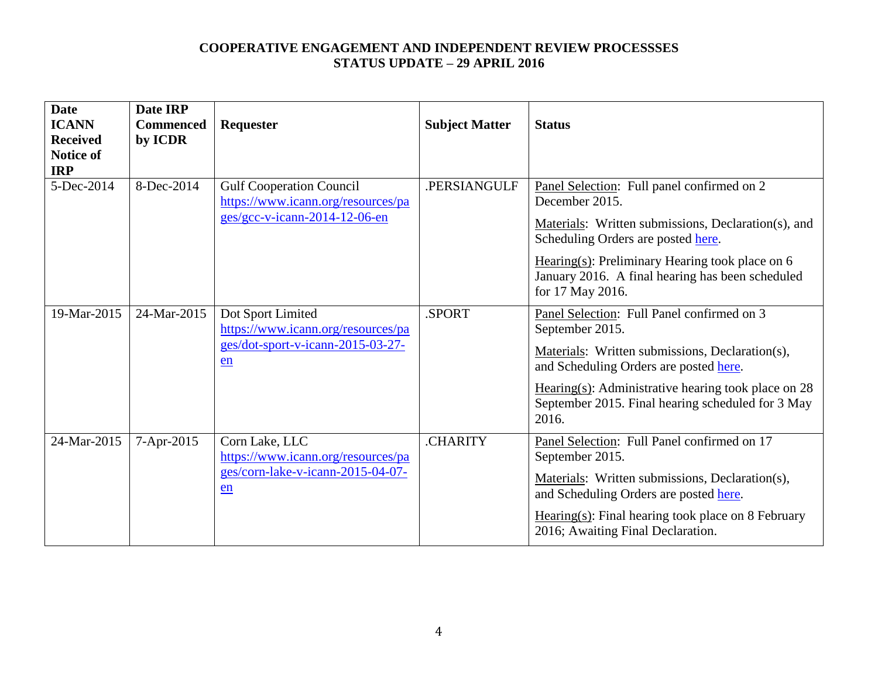| <b>Date</b><br><b>ICANN</b><br><b>Received</b><br><b>Notice of</b><br><b>IRP</b> | Date IRP<br><b>Commenced</b><br>by ICDR | Requester                                                                                              | <b>Subject Matter</b> | <b>Status</b>                                                                                                                                                                                                                                                                          |
|----------------------------------------------------------------------------------|-----------------------------------------|--------------------------------------------------------------------------------------------------------|-----------------------|----------------------------------------------------------------------------------------------------------------------------------------------------------------------------------------------------------------------------------------------------------------------------------------|
| 5-Dec-2014                                                                       | 8-Dec-2014                              | <b>Gulf Cooperation Council</b><br>https://www.icann.org/resources/pa<br>ges/gcc-v-icann-2014-12-06-en | .PERSIANGULF          | Panel Selection: Full panel confirmed on 2<br>December 2015.<br>Materials: Written submissions, Declaration(s), and<br>Scheduling Orders are posted here.<br>Hearing(s): Preliminary Hearing took place on $6$<br>January 2016. A final hearing has been scheduled<br>for 17 May 2016. |
| 19-Mar-2015                                                                      | 24-Mar-2015                             | Dot Sport Limited<br>https://www.icann.org/resources/pa<br>ges/dot-sport-v-icann-2015-03-27-<br>en     | .SPORT                | Panel Selection: Full Panel confirmed on 3<br>September 2015.<br>Materials: Written submissions, Declaration(s),<br>and Scheduling Orders are posted here.<br>Hearing(s): Administrative hearing took place on $28$<br>September 2015. Final hearing scheduled for 3 May<br>2016.      |
| 24-Mar-2015                                                                      | 7-Apr-2015                              | Corn Lake, LLC<br>https://www.icann.org/resources/pa<br>ges/corn-lake-v-icann-2015-04-07-<br>en        | <b>CHARITY</b>        | Panel Selection: Full Panel confirmed on 17<br>September 2015.<br>Materials: Written submissions, Declaration(s),<br>and Scheduling Orders are posted here.<br>$Hearing(s): Final hearing took place on 8 February$<br>2016; Awaiting Final Declaration.                               |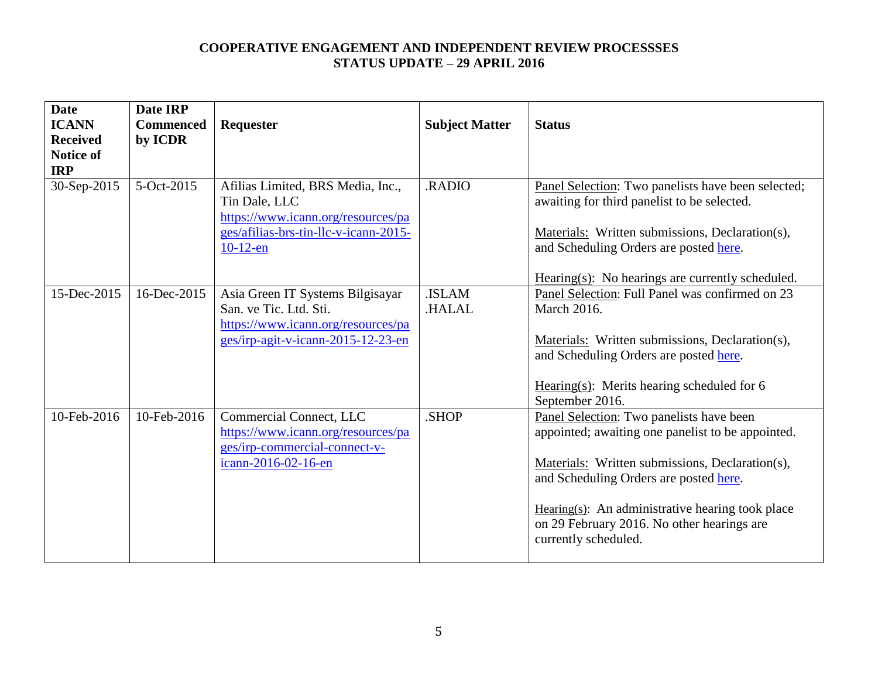| <b>Date</b><br><b>ICANN</b><br><b>Received</b><br><b>Notice of</b><br><b>IRP</b> | Date IRP<br><b>Commenced</b><br>by ICDR | Requester                                                                                                                                        | <b>Subject Matter</b>  | <b>Status</b>                                                                                                                                                                                                                                                                                                        |
|----------------------------------------------------------------------------------|-----------------------------------------|--------------------------------------------------------------------------------------------------------------------------------------------------|------------------------|----------------------------------------------------------------------------------------------------------------------------------------------------------------------------------------------------------------------------------------------------------------------------------------------------------------------|
| 30-Sep-2015                                                                      | 5-Oct-2015                              | Afilias Limited, BRS Media, Inc.,<br>Tin Dale, LLC<br>https://www.icann.org/resources/pa<br>ges/afilias-brs-tin-llc-v-icann-2015-<br>$10-12$ -en | .RADIO                 | Panel Selection: Two panelists have been selected;<br>awaiting for third panelist to be selected.<br>Materials: Written submissions, Declaration(s),<br>and Scheduling Orders are posted here.<br>$Hearing(s): No hearings are currently scheduled.$                                                                 |
| 15-Dec-2015                                                                      | 16-Dec-2015                             | Asia Green IT Systems Bilgisayar<br>San. ve Tic. Ltd. Sti.<br>https://www.icann.org/resources/pa<br>ges/irp-agit-v-icann-2015-12-23-en           | .ISLAM<br><b>HALAL</b> | Panel Selection: Full Panel was confirmed on 23<br><b>March 2016.</b><br>Materials: Written submissions, Declaration(s),<br>and Scheduling Orders are posted here.<br>Hearing $(s)$ : Merits hearing scheduled for 6<br>September 2016.                                                                              |
| 10-Feb-2016                                                                      | 10-Feb-2016                             | Commercial Connect, LLC<br>https://www.icann.org/resources/pa<br>ges/irp-commercial-connect-v-<br>icann-2016-02-16-en                            | .SHOP                  | Panel Selection: Two panelists have been<br>appointed; awaiting one panelist to be appointed.<br>Materials: Written submissions, Declaration(s),<br>and Scheduling Orders are posted here.<br>Hearing(s): An administrative hearing took place<br>on 29 February 2016. No other hearings are<br>currently scheduled. |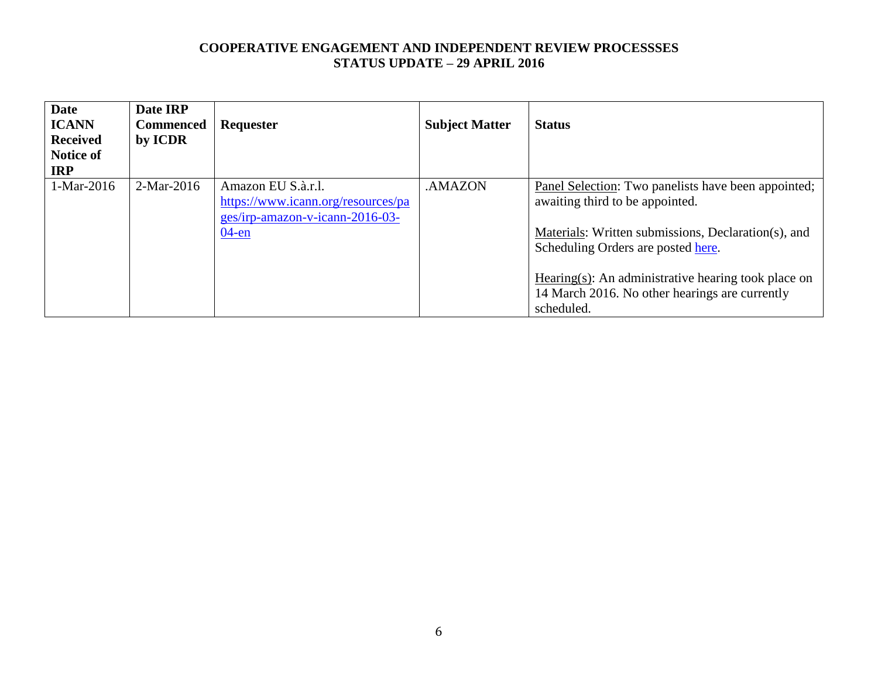| <b>Date</b><br><b>ICANN</b><br><b>Received</b><br><b>Notice of</b><br><b>IRP</b> | Date IRP<br><b>Commenced</b><br>by ICDR | Requester                                                                                   | <b>Subject Matter</b> | <b>Status</b>                                                                                                                                        |
|----------------------------------------------------------------------------------|-----------------------------------------|---------------------------------------------------------------------------------------------|-----------------------|------------------------------------------------------------------------------------------------------------------------------------------------------|
| 1-Mar-2016                                                                       | $2-Mar-2016$                            | Amazon EU S.à.r.l.<br>https://www.icann.org/resources/pa<br>ges/irp-amazon-v-icann-2016-03- | .AMAZON               | Panel Selection: Two panelists have been appointed;<br>awaiting third to be appointed.                                                               |
|                                                                                  |                                         | $04$ -en                                                                                    |                       | Materials: Written submissions, Declaration(s), and<br>Scheduling Orders are posted here.<br>Hearing $(s)$ : An administrative hearing took place on |
|                                                                                  |                                         |                                                                                             |                       | 14 March 2016. No other hearings are currently<br>scheduled.                                                                                         |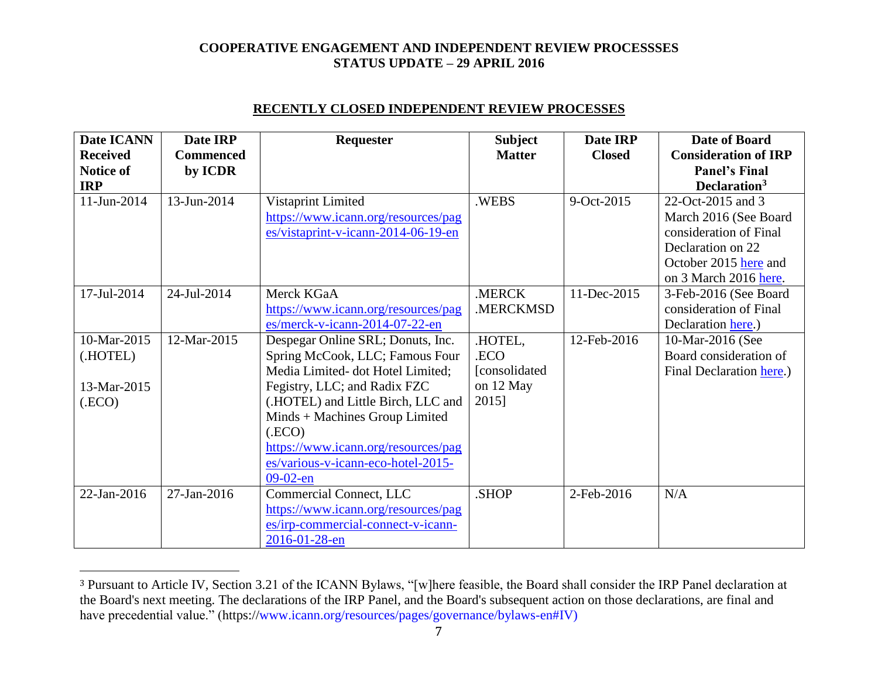| Date ICANN<br><b>Received</b><br><b>Notice of</b><br><b>IRP</b> | Date IRP<br><b>Commenced</b><br>by ICDR | <b>Requester</b>                                                                                                                                                                                                                                                                                                     | <b>Subject</b><br><b>Matter</b>                         | Date IRP<br><b>Closed</b> | Date of Board<br><b>Consideration of IRP</b><br><b>Panel's Final</b><br>Declaration <sup>3</sup>                                            |
|-----------------------------------------------------------------|-----------------------------------------|----------------------------------------------------------------------------------------------------------------------------------------------------------------------------------------------------------------------------------------------------------------------------------------------------------------------|---------------------------------------------------------|---------------------------|---------------------------------------------------------------------------------------------------------------------------------------------|
| 11-Jun-2014                                                     | 13-Jun-2014                             | Vistaprint Limited<br>https://www.icann.org/resources/pag<br>$es/vistaprint-v-icann-2014-06-19-en$                                                                                                                                                                                                                   | .WEBS                                                   | 9-Oct-2015                | 22-Oct-2015 and 3<br>March 2016 (See Board<br>consideration of Final<br>Declaration on 22<br>October 2015 here and<br>on 3 March 2016 here. |
| 17-Jul-2014                                                     | 24-Jul-2014                             | Merck KGaA<br>https://www.icann.org/resources/pag<br>es/merck-v-icann-2014-07-22-en                                                                                                                                                                                                                                  | .MERCK<br>.MERCKMSD                                     | 11-Dec-2015               | 3-Feb-2016 (See Board<br>consideration of Final<br>Declaration here.)                                                                       |
| 10-Mar-2015<br>(.HOTEL)<br>13-Mar-2015<br>(ECO)                 | 12-Mar-2015                             | Despegar Online SRL; Donuts, Inc.<br>Spring McCook, LLC; Famous Four<br>Media Limited-dot Hotel Limited;<br>Fegistry, LLC; and Radix FZC<br>(.HOTEL) and Little Birch, LLC and<br>Minds + Machines Group Limited<br>(ECO)<br>https://www.icann.org/resources/pag<br>es/various-v-icann-eco-hotel-2015-<br>$09-02-en$ | .HOTEL,<br>.ECO<br>[consolidated]<br>on 12 May<br>2015] | 12-Feb-2016               | 10-Mar-2016 (See<br>Board consideration of<br>Final Declaration here.)                                                                      |
| 22-Jan-2016                                                     | 27-Jan-2016                             | Commercial Connect, LLC<br>https://www.icann.org/resources/pag<br>es/irp-commercial-connect-v-icann-<br>2016-01-28-en                                                                                                                                                                                                | .SHOP                                                   | 2-Feb-2016                | N/A                                                                                                                                         |

## **RECENTLY CLOSED INDEPENDENT REVIEW PROCESSES**

 $\overline{a}$ 

<sup>3</sup> Pursuant to Article IV, Section 3.21 of the ICANN Bylaws, "[w]here feasible, the Board shall consider the IRP Panel declaration at the Board's next meeting. The declarations of the IRP Panel, and the Board's subsequent action on those declarations, are final and have precedential value." (https://www.icann.org/resources/pages/governance/bylaws-en#IV)